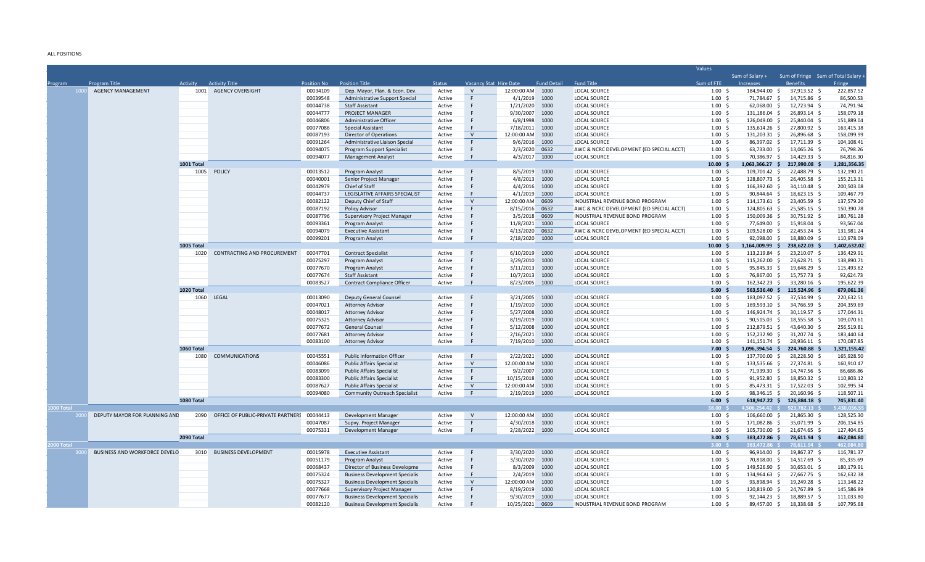## ALL POSITIONS

|            |                               |            |                                    |                    |                                       |               |                        |                   |                    |                                          | Values                |                                |                                             |                          |
|------------|-------------------------------|------------|------------------------------------|--------------------|---------------------------------------|---------------|------------------------|-------------------|--------------------|------------------------------------------|-----------------------|--------------------------------|---------------------------------------------|--------------------------|
|            |                               |            |                                    |                    |                                       |               |                        |                   |                    |                                          |                       | Sum of Salary +                | Sum of Fringe Sum of Total Salary -         |                          |
| Program    | <b>Program Title</b>          | Activity   | <b>Activity Title</b>              | <b>Position No</b> | <b>Position Title</b>                 | <b>Status</b> | Vacancy Stat Hire Date |                   | <b>Fund Detail</b> | <b>Fund Title</b>                        | Sum of FTE            | Increases                      | <b>Benefits</b>                             | Fringe                   |
| 1000       | <b>AGENCY MANAGEMENT</b>      |            | 1001 AGENCY OVERSIGHT              | 00034109           | Dep. Mayor, Plan. & Econ. Dev.        | Active        | $\vee$                 | 12:00:00 AM  1000 |                    | <b>LOCAL SOURCE</b>                      | $1.00 \pm 5$          | 184,944.00 \$                  | 37,913.52 \$                                | 222,857.52               |
|            |                               |            |                                    | 00039548           | <b>Administrative Support Special</b> | Active        | F                      | 4/1/2019          | 1000               | <b>LOCAL SOURCE</b>                      | 1.00 <sup>5</sup>     | 71,784.67 \$                   | 14,715.86 \$                                | 86,500.53                |
|            |                               |            |                                    | 00044738           | <b>Staff Assistant</b>                | Active        | F                      | 1/21/2020         | 1000               | <b>LOCAL SOURCE</b>                      | $1.00 \pm 5$          | 62,068.00 \$                   | 12,723.94 \$                                | 74,791.94                |
|            |                               |            |                                    | 00044777           | PROJECT MANAGER                       | Active        |                        | 9/30/2007         | 1000               | LOCAL SOURCE                             | $1.00 \div$           | 131,186.04 \$                  | 26,893.14 \$                                | 158,079.18               |
|            |                               |            |                                    | 00046806           | Administrative Officer                | Active        |                        | 6/8/1998          | 1000               | <b>LOCAL SOURCE</b>                      | $1.00 \pm 5$          | 126,049.00 \$                  | 25,840.04 \$                                | 151,889.04               |
|            |                               |            |                                    | 00077086           | Special Assistant                     | Active        | F                      | 7/18/2011         | 1000               | LOCAL SOURCE                             | $1.00 \div$           | 135,614.26 \$                  | 27,800.92 \$                                | 163,415.18               |
|            |                               |            |                                    | 00087193           | Director of Operations                | Active        | $\vee$                 | 12:00:00 AM       | 1000               | LOCAL SOURCE                             | $1.00 \pm 5$          | 131,203.31 \$                  | 26,896.68 \$                                | 158,099.99               |
|            |                               |            |                                    | 00091264           | Administrative Liaison Special        | Active        | F                      | 9/6/2016          | 1000               | <b>LOCAL SOURCE</b>                      | $1.00\frac{1}{5}$     | 86,397.02 \$                   | 17,711.39 \$                                | 104,108.41               |
|            |                               |            |                                    | 00094075           | Program Support Specialist            | Active        | F                      | 2/3/2020          | 0632               | AWC & NCRC DEVELOPMENT (ED SPECIAL ACCT) | 1.00 <sup>5</sup>     | 63,733.00 \$                   | 13,065.26 \$                                | 76,798.26                |
|            |                               |            |                                    | 00094077           | <b>Management Analyst</b>             | Active        | F                      | 4/3/2017          | 1000               | LOCAL SOURCE                             | $1.00 \pm 5$          | 70,386.97 \$                   | 14,429.33 \$                                | 84,816.30                |
|            |                               | 1001 Total |                                    |                    |                                       |               |                        |                   |                    |                                          | 10.00%                | $1,063,366.27$ \$              | 217,990.08 \$                               | 1,281,356.35             |
|            |                               |            | 1005 POLICY                        | 00013512           | Program Analyst                       | Active        | F.                     | 8/5/2019          | 1000               | LOCAL SOURCE                             | $1.00\frac{1}{5}$     | 109,701.42 \$                  | 22,488.79 \$                                | 132,190.21               |
|            |                               |            |                                    | 00040001           | Senior Project Manager                | Active        | F                      | 4/8/2013 1000     |                    | LOCAL SOURCE                             | 1.00 <sup>5</sup>     | 128,807.73 \$                  | 26,405.58 \$                                | 155,213.31               |
|            |                               |            |                                    | 00042979           | Chief of Staff                        | Active        | F                      | 4/4/2016          | 1000               | <b>LOCAL SOURCE</b>                      | $1.00 \pm$            | 166,392.60 \$                  | 34,110.48 \$                                | 200,503.08               |
|            |                               |            |                                    | 00044737           | LEGISLATIVE AFFAIRS SPECIALIST        | Active        | F                      | 4/1/2019 1000     |                    | <b>LOCAL SOURCE</b>                      | $1.00 \div$           | 90,844.64 \$                   | 18,623.15 \$                                | 109,467.79               |
|            |                               |            |                                    | 00082122           | Deputy Chief of Staff                 | Active        | V                      | 12:00:00 AM       | 0609               | INDUSTRIAL REVENUE BOND PROGRAM          | $1.00 \pm$            | 114,173.61 \$                  | 23,405.59 \$                                | 137,579.20               |
|            |                               |            |                                    | 00087192           | Policy Advisor                        | Active        | F                      | 8/15/2016 0632    |                    | AWC & NCRC DEVELOPMENT (ED SPECIAL ACCT) | $1.00 \pm 5$          | 124,805.63 \$                  | 25,585.15 \$                                | 150,390.78               |
|            |                               |            |                                    | 00087796           | Supervisory Project Manager           | Active        | E                      | 3/5/2018          | 0609               | INDUSTRIAL REVENUE BOND PROGRAM          | 1.00S                 | 150,009.36 \$                  | 30,751.92 \$                                | 180,761.28               |
|            |                               |            |                                    | 00093361           | Program Analyst                       | Active        | F                      | 11/8/2021         | 1000               | <b>LOCAL SOURCE</b>                      | $1.00 \pm 5$          | 77,649.00 \$                   | 15,918.04 \$                                | 93,567.04                |
|            |                               |            |                                    | 00094079           | <b>Executive Assistant</b>            | Active        | F                      | 4/13/2020         | 0632               | AWC & NCRC DEVELOPMENT (ED SPECIAL ACCT) | 1.00S                 | 109.528.00 \$                  | 22,453.24 \$                                | 131,981.24               |
|            |                               |            |                                    | 00099201           | Program Analyst                       | Active        | F                      | 2/18/2020 1000    |                    | <b>LOCAL SOURCE</b>                      | 1.00S                 | 92,098.00 \$                   | 18,880.09 \$                                | 110,978.09               |
|            |                               | 1005 Total |                                    |                    |                                       |               |                        |                   |                    |                                          | $10.00 \quad $$       | 1,164,009.99 \$                | 238,622.03 \$                               | 1,402,632.02             |
|            |                               | 1020       | <b>CONTRACTING AND PROCUREMENT</b> | 00047701           | <b>Contract Specialist</b>            | Active        | F                      | 6/10/2019 1000    |                    | <b>LOCAL SOURCE</b>                      | 1.00S                 | 113,219.84 \$                  | 23,210.07 \$                                | 136,429.91               |
|            |                               |            |                                    | 00075297           | Program Analyst                       | Active        | F                      | 3/29/2010 1000    |                    | LOCAL SOURCE                             | $1.00 \pm 5$          | 115,262.00 \$                  | 23,628.71 \$                                | 138,890.71               |
|            |                               |            |                                    | 00077670           | Program Analyst                       | Active        | F                      | 3/11/2013 1000    |                    | <b>LOCAL SOURCE</b>                      | 1.00S                 | 95,845.33 \$                   | 19,648.29 \$                                | 115,493.62               |
|            |                               |            |                                    | 00077674           | <b>Staff Assistant</b>                | Active        | F                      | 10/7/2013 1000    |                    | <b>LOCAL SOURCE</b>                      | $1.00 \pm 5$          | 76,867.00 \$                   | 15,757.73 \$                                | 92,624.73                |
|            |                               |            |                                    | 00083527           | <b>Contract Compliance Officer</b>    | Active        | F                      | 8/23/2005 1000    |                    | <b>LOCAL SOURCE</b>                      | 1.00S                 | 162.342.23 \$                  | 33,280.16 \$                                | 195,622.39               |
|            |                               | 1020 Total |                                    |                    |                                       |               |                        |                   |                    |                                          | 5.00%                 | 563,536.40 \$                  | 115,524.96 \$                               | 679,061.36               |
|            |                               |            | 1060 LEGAL                         | 00013090           | <b>Deputy General Counsel</b>         | Active        | F.                     | 3/21/2005 1000    |                    | <b>LOCAL SOURCE</b>                      | $1.00 \pm$            | 183,097.52 \$                  | 37,534.99 \$                                | 220,632.51               |
|            |                               |            |                                    | 00047021           | <b>Attorney Advisor</b>               | Active        |                        | 1/19/2010         | 1000               | <b>LOCAL SOURCE</b>                      | $1.00 \pm 5$          | 169,593.10 \$                  | 34,766.59 \$                                | 204,359.69               |
|            |                               |            |                                    | 00048017           | <b>Attorney Advisor</b>               | Active        | F.                     | 5/27/2008         | 1000               | LOCAL SOURCE                             | $1.00 \pm$            | 146,924.74 \$                  | 30,119.57 \$                                | 177,044.31               |
|            |                               |            |                                    | 00075325           | <b>Attorney Advisor</b>               | Active        |                        | 8/19/2019         | 1000               | <b>LOCAL SOURCE</b>                      | 1.00 <sup>5</sup>     | 90,515.03 \$                   | 18,555.58 \$                                | 109,070.61               |
|            |                               |            |                                    | 00077672           | General Counsel                       | Active        |                        | 5/12/2008         | 1000               | LOCAL SOURCE                             | $1.00 \div$           | 212,879.51 \$                  | 43,640.30 \$                                | 256,519.81               |
|            |                               |            |                                    | 00077681           | <b>Attorney Advisor</b>               | Active        | F                      | 2/16/2021         | 1000               | <b>LOCAL SOURCE</b>                      | 1.00 <sup>5</sup>     | 152,232.90 \$                  | 31,207.74 \$                                | 183,440.64               |
|            |                               |            |                                    | 00083100           | <b>Attorney Advisor</b>               | Active        | F                      | 7/19/2010 1000    |                    | LOCAL SOURCE                             | $1.00 \pm 5$          | 141,151.74 \$                  | 28,936.11 \$                                | 170,087.85               |
|            |                               | 1060 Total |                                    |                    |                                       |               |                        |                   |                    |                                          | 7.00%                 | 1,096,394.54 \$                | 224.760.88 \$                               | 1,321,155.42             |
|            |                               | 1080       | <b>COMMUNICATIONS</b>              | 00045551           | Public Information Officer            | Active        | F                      | 2/22/2021 1000    |                    | <b>LOCAL SOURCE</b>                      | $1.00 \pm 5$          | 137,700.00 \$                  | 28,228.50 \$                                | 165,928.50               |
|            |                               |            |                                    | 00046086           | <b>Public Affairs Specialist</b>      | Active        | $\vee$                 | 12:00:00 AM 1000  |                    | <b>LOCAL SOURCE</b>                      | $1.00 \pm$            | 133,535.66 \$                  | 27,374.81 \$                                | 160,910.47               |
|            |                               |            |                                    | 00083099           | <b>Public Affairs Specialist</b>      | Active        | F                      | 9/2/2007          | 1000               | LOCAL SOURCE                             | $1.00 \pm 5$          | 71,939.30 \$                   | 14,747.56 \$                                | 86,686.86                |
|            |                               |            |                                    | 00083300           | <b>Public Affairs Specialist</b>      | Active        | F<br>V                 | 10/15/2018 1000   |                    | <b>LOCAL SOURCE</b>                      | $1.00 \div$           | $91,952.80$ \$                 | 18,850.32 \$                                | 110,803.12               |
|            |                               |            |                                    | 00087627           | <b>Public Affairs Specialist</b>      | Active        | F                      | 12:00:00 AM       | 1000               | <b>LOCAL SOURCE</b>                      | $1.00 \pm$            | 85,473.31 \$                   | 17,522.03 \$                                | 102,995.34               |
|            |                               | 1080 Total |                                    | 00094080           | <b>Community Outreach Specialist</b>  | Active        |                        | 2/19/2019 1000    |                    | LOCAL SOURCE                             | $1.00 \div$<br>6.00%  | 98,346.15 \$                   | 20,160.96 \$<br>618,947.22 \$ 126,884.18 \$ | 118,507.11<br>745,831.40 |
|            |                               |            |                                    |                    |                                       |               |                        |                   |                    |                                          | 8.00 S                | 506,254.42 \$                  | 923,782.13                                  | ,430,036.5               |
| 000 Total  | DEPUTY MAYOR FOR PLANNING AND | 2090       | OFFICE OF PUBLIC-PRIVATE PARTNERS  | 00044413           | Development Manager                   | Active        | V                      | 12:00:00 AM 1000  |                    | <b>LOCAL SOURCE</b>                      | $1.00 \pm$            | 106,660.00 \$                  | 21,865.30 \$                                | 128,525.30               |
|            |                               |            |                                    | 00047087           |                                       |               | F                      |                   |                    | <b>LOCAL SOURCE</b>                      | $1.00 \pm$            | 171,082.86 \$                  | 35,071.99 \$                                | 206,154.85               |
|            |                               |            |                                    |                    | Supvy. Project Manager                | Active        | F                      | 4/30/2018 1000    |                    |                                          |                       |                                |                                             |                          |
|            |                               |            |                                    | 00075331           | Development Manager                   | Active        |                        | 2/28/2022 1000    |                    | <b>LOCAL SOURCE</b>                      | $1.00 \div$           | 105,730.00 \$                  | 21,674.65 \$                                | 127,404.65<br>462.084.80 |
| 1000 Total |                               | 2090 Total |                                    |                    |                                       |               |                        |                   |                    |                                          | 3.00%<br>3 nn s       | 383,472.86 \$<br>383.472.86 \$ | 78,611.94 \$<br>78.611.94                   | 462.084.80               |
|            | BUSINESS AND WORKFORCE DEVELO |            | 3010 BUSINESS DEVELOPMENT          | 00015978           |                                       | Active        | F                      | 3/30/2020 1000    |                    | <b>LOCAL SOURCE</b>                      | $1.00 \pm 5$          | 96,914.00 \$                   | 19,867.37 \$                                | 116,781.37               |
|            |                               |            |                                    |                    | <b>Executive Assistant</b>            | Active        | F                      |                   |                    |                                          | $1.00 \pm 5$          |                                |                                             |                          |
|            |                               |            |                                    | 00051179           | Program Analyst                       |               | F                      | 3/30/2020         | 1000               | LOCAL SOURCE                             |                       | 70,818.00 \$                   | 14,517.69 \$                                | 85,335.69                |
|            |                               |            |                                    | 00068437           | Director of Business Developme        | Active        | F                      | 8/3/2009          | 1000               | <b>LOCAL SOURCE</b>                      | $1.00 \pm$            | 149,526.90 \$                  | 30,653.01 \$                                | 180,179.91               |
|            |                               |            |                                    | 00075324           | <b>Business Development Specialis</b> | Active        | $\vee$                 | 2/4/2019          | 1000               | LOCAL SOURCE                             | $1.00 \pm 5$<br>1.00S | 134,964.63 \$                  | 27,667.75 \$                                | 162,632.38               |
|            |                               |            |                                    | 00075327           | <b>Business Development Specialis</b> | Active        |                        | 12:00:00 AM       | 1000               | <b>LOCAL SOURCE</b>                      |                       | 93,898.94 \$                   | 19,249.28 \$                                | 113,148.22               |
|            |                               |            |                                    | 00077668           | <b>Supervisory Project Manager</b>    | Active        | F                      | 8/19/2019         | 1000               | <b>LOCAL SOURCE</b>                      | 1.00 <sub>5</sub>     | 120,819.00 \$                  | 24,767.89<br>- S                            | 145,586.89               |
|            |                               |            |                                    | 00077677           | <b>Business Development Specialis</b> | Active        | F.                     | 9/30/2019 1000    |                    | <b>LOCAL SOURCE</b>                      | 1.00 <sub>5</sub>     | 92.144.23 \$                   | 18.889.57 \$                                | 111,033.80               |
|            |                               |            |                                    | 00082120           | <b>Business Development Specialis</b> | Active        |                        | 10/25/2021        | 0609               | INDUSTRIAL REVENUE BOND PROGRAM          | 1.00S                 | 89,457.00 \$                   | 18.338.68 \$                                | 107,795.68               |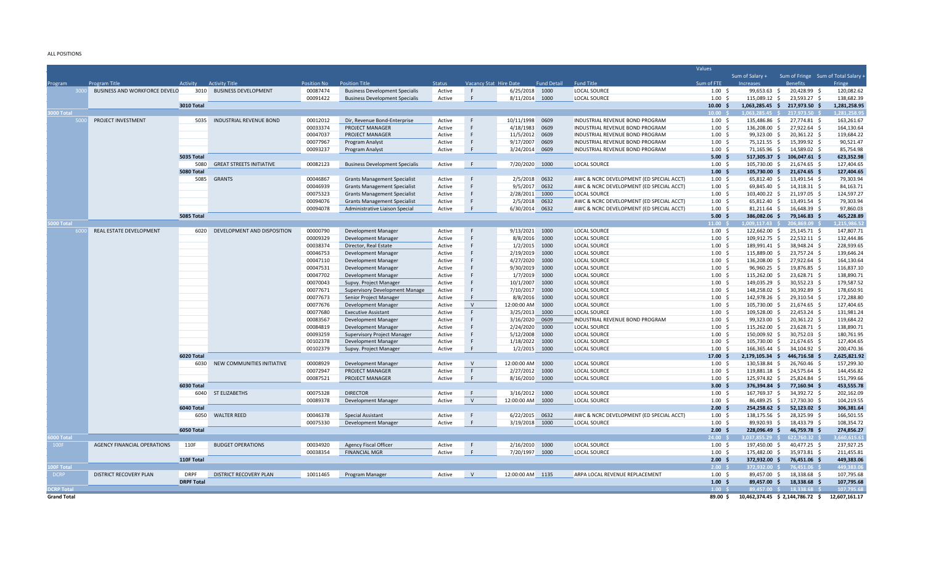ALL POSITIONS

|                    |                                      |                   |                                 |                    |                                       |               |                        |                   |                    |                                          | Values             |                       |                                     |               |
|--------------------|--------------------------------------|-------------------|---------------------------------|--------------------|---------------------------------------|---------------|------------------------|-------------------|--------------------|------------------------------------------|--------------------|-----------------------|-------------------------------------|---------------|
|                    |                                      |                   |                                 |                    |                                       |               |                        |                   |                    |                                          |                    | Sum of Salary +       | Sum of Fringe Sum of Total Salary . |               |
| Program            | <b>Program Title</b>                 | Activity          | <b>Activity Title</b>           | <b>Position No</b> | <b>Position Title</b>                 | <b>Status</b> | Vacancy Stat Hire Date |                   | <b>Fund Detail</b> | <b>Fund Title</b>                        | Sum of FTE         | <b>Increases</b>      | <b>Benefits</b>                     | Fringe        |
|                    | <b>BUSINESS AND WORKFORCE DEVELO</b> | 3010              | <b>BUSINESS DEVELOPMENT</b>     | 00087474           | <b>Business Development Specialis</b> | Active        | F                      | 6/25/2018 1000    |                    | <b>LOCAL SOURCE</b>                      | $1.00 \,$ \$       | 99.653.63 \$          | 20.428.99 \$                        | 120.082.62    |
|                    |                                      |                   |                                 | 00091422           | <b>Business Development Specialis</b> | Active        | F                      | 8/11/2014 1000    |                    | <b>LOCAL SOURCE</b>                      | $1.00 \,$ \$       | 115,089.12 \$         | 23,593.27 \$                        | 138,682.39    |
|                    |                                      | <b>3010 Total</b> |                                 |                    |                                       |               |                        |                   |                    |                                          | 10.00 S            |                       | 1,063,285.45 \$ 217,973.50 \$       | 1,281,258.95  |
| 000 Total          |                                      |                   |                                 |                    |                                       |               |                        |                   |                    |                                          | 10.00              | 1.063.285.45 \$       | 217.973.50                          | 1.281.258.9   |
|                    | PROJECT INVESTMENT                   | 5035              | <b>INDUSTRIAL REVENUE BOND</b>  | 00012012           | Dir, Revenue Bond-Enterprise          | Active        | F                      | 10/11/1998 0609   |                    | INDUSTRIAL REVENUE BOND PROGRAM          | 1.00 <sub>5</sub>  | 135,486.86 \$         | 27,774.81 \$                        | 163,261.67    |
|                    |                                      |                   |                                 | 00033374           | <b>PROJECT MANAGER</b>                | Active        |                        | 4/18/1983         | 0609               | INDUSTRIAL REVENUE BOND PROGRAM          | $1.00\frac{1}{5}$  | 136,208.00 \$         | 27,922.64 \$                        | 164,130.64    |
|                    |                                      |                   |                                 | 00047037           | PROJECT MANAGER                       | Active        |                        | 11/5/2012         | 0609               | INDUSTRIAL REVENUE BOND PROGRAM          | $1.00\frac{1}{5}$  | 99,323.00 \$          | 20,361.22 \$                        | 119,684.22    |
|                    |                                      |                   |                                 | 00077967           | Program Analyst                       | Active        |                        | 9/17/2007         | 0609               | INDUSTRIAL REVENUE BOND PROGRAM          | $1.00 \pm 5$       | 75,121.55 \$          | 15,399.92 \$                        | 90,521.47     |
|                    |                                      |                   |                                 | 00093237           | Program Analyst                       | Active        | F                      | 3/24/2014         | 0609               | INDUSTRIAL REVENUE BOND PROGRAM          | 1.00 <sup>5</sup>  | 71,165.96 \$          | 14,589.02 \$                        | 85,754.98     |
|                    |                                      | 5035 Total        |                                 |                    |                                       |               |                        |                   |                    |                                          | 5.00%              | 517,305.37 \$         | 106,047.61 \$                       | 623,352.98    |
|                    |                                      | 5080              | <b>GREAT STREETS INITIATIVE</b> | 00082123           | <b>Business Development Specialis</b> | Active        | F                      | 7/20/2020 1000    |                    | <b>LOCAL SOURCE</b>                      | $1.00\frac{1}{5}$  | 105,730.00 \$         | 21,674.65 \$                        | 127,404.65    |
|                    |                                      | 5080 Total        |                                 |                    |                                       |               |                        |                   |                    |                                          | 1.00%              | 105,730.00 \$         | 21,674.65 \$                        | 127,404.65    |
|                    |                                      | 5085              | <b>GRANTS</b>                   | 00046867           | <b>Grants Management Specialist</b>   | Active        | $\mathsf{F}$           | 2/5/2018          | 0632               | AWC & NCRC DEVELOPMENT (ED SPECIAL ACCT) | $1.00 \pm 5$       | 65,812.40 \$          | 13,491.54 \$                        | 79,303.94     |
|                    |                                      |                   |                                 | 00046939           | <b>Grants Management Specialist</b>   | Active        | E                      | 9/5/2017 0632     |                    | AWC & NCRC DEVELOPMENT (ED SPECIAL ACCT) | 1.00 <sup>5</sup>  | 69,845.40 \$          | 14,318.31 \$                        | 84,163.71     |
|                    |                                      |                   |                                 | 00075323           | <b>Grants Management Specialist</b>   | Active        |                        | 2/28/2011         | 1000               | <b>LOCAL SOURCE</b>                      | $1.00 \pm 5$       | 103,400.22 \$         | 21,197.05 \$                        | 124,597.27    |
|                    |                                      |                   |                                 | 00094076           | <b>Grants Management Specialist</b>   | Active        |                        | 2/5/2018          | 0632               | AWC & NCRC DEVELOPMENT (ED SPECIAL ACCT) | $1.00 \pm 1.00$    | 65,812.40 \$          | 13,491.54 \$                        | 79,303.94     |
|                    |                                      |                   |                                 | 00094078           | Administrative Liaison Special        | Active        | F                      | 6/30/2014         | 0632               | AWC & NCRC DEVELOPMENT (ED SPECIAL ACCT) | $1.00 \pm 5$       | 81,211.64 \$          | 16,648.39 \$                        | 97,860.03     |
|                    |                                      | 5085 Total        |                                 |                    |                                       |               |                        |                   |                    |                                          | 5.00 S             | 386,082.06 \$         | 79,146.83 \$                        | 465.228.89    |
| 000 Total          |                                      |                   |                                 |                    |                                       |               |                        |                   |                    |                                          | 11.00              | $.009.117.43 \quad S$ | 06.869.09                           | 1.215.986.52  |
|                    | <b>REAL ESTATE DEVELOPMENT</b>       | 6020              | DEVELOPMENT AND DISPOSITION     | 00000790           | Development Manager                   | Active        | E                      | 9/13/2021 1000    |                    | <b>LOCAL SOURCE</b>                      | 1.00 <sub>5</sub>  | 122.662.00 \$         | 25.145.71 \$                        | 147.807.71    |
|                    |                                      |                   |                                 | 00009329           | Development Manager                   | Active        | F                      | 8/8/2016          | 1000               | <b>LOCAL SOURCE</b>                      | $1.00 \pm 5$       | 109,912.75 \$         | 22,532.11 \$                        | 132,444.86    |
|                    |                                      |                   |                                 | 00038374           | Director, Real Estate                 | Active        |                        | 1/2/2015          | 1000               | LOCAL SOURCE                             | $1.00 \pm 5$       | 189,991.41 \$         | 38,948.24 \$                        | 228,939.65    |
|                    |                                      |                   |                                 | 00046753           | Development Manager                   | Active        |                        | 2/19/2019         | 1000               | <b>LOCAL SOURCE</b>                      | $1.00 \pm 5$       | 115,889.00 \$         | 23,757.24 \$                        | 139,646.24    |
|                    |                                      |                   |                                 | 00047110           | Development Manager                   | Active        |                        | 4/27/2020         | 1000               | <b>LOCAL SOURCE</b>                      | 1.00 <sub>5</sub>  | 136,208.00 \$         | 27,922.64 \$                        | 164,130.64    |
|                    |                                      |                   |                                 | 00047531           | Development Manager                   | Active        |                        | 9/30/2019         | 1000               | <b>LOCAL SOURCE</b>                      | $1.00\frac{1}{5}$  | 96,960.25 \$          | 19,876.85 \$                        | 116,837.10    |
|                    |                                      |                   |                                 | 00047702           | Development Manager                   | Active        |                        | 1/7/2019          | 1000               | <b>LOCAL SOURCE</b>                      | $1.00\frac{1}{5}$  | 115,262.00 \$         | 23,628.71 \$                        | 138,890.71    |
|                    |                                      |                   |                                 | 00070043           | Supvy. Project Manager                | Active        |                        | 10/1/2007         | 1000               | <b>LOCAL SOURCE</b>                      | $1.00 \pm 5$       | 149,035.29 \$         | 30,552.23 \$                        | 179,587.52    |
|                    |                                      |                   |                                 | 00077671           | <b>Supervisory Development Manage</b> | Active        |                        | 7/10/2017         | 1000               | <b>LOCAL SOURCE</b>                      | $1.00 \pm 5$       | 148,258.02 \$         | 30,392.89                           | 178,650.91    |
|                    |                                      |                   |                                 | 00077673           | Senior Project Manager                | Active        | F                      | 8/8/2016          | 1000               | <b>LOCAL SOURCE</b>                      | $1.00 \pm 5$       | 142,978.26 \$         | 29,310.54 \$                        | 172,288.80    |
|                    |                                      |                   |                                 | 00077676           | <b>Development Manage</b>             | Active        | V                      | 12:00:00 AM       | 1000               | <b>LOCAL SOURCE</b>                      | $1.00\frac{1}{5}$  | 105,730.00 \$         | 21,674.65 \$                        | 127,404.65    |
|                    |                                      |                   |                                 | 00077680           | <b>Executive Assistant</b>            | Active        | $\mathsf{F}$           | 3/25/2013         | 1000               | <b>LOCAL SOURCE</b>                      | $1.00 \pm 5$       | 109,528.00 \$         | 22,453.24 \$                        | 131,981.24    |
|                    |                                      |                   |                                 | 00083567           | Development Manager                   | Active        |                        | 3/16/2020 0609    |                    | INDUSTRIAL REVENUE BOND PROGRAM          | $1.00 \pm 5$       | 99,323.00 \$          | 20,361.22 \$                        | 119,684.22    |
|                    |                                      |                   |                                 | 00084819           | Development Manager                   | Active        |                        | 2/24/2020         | 1000               | <b>LOCAL SOURCE</b>                      | $1.00 \pm 5$       | 115,262.00 \$         | 23,628.71 \$                        | 138,890.71    |
|                    |                                      |                   |                                 | 00093259           | <b>Supervisory Project Manager</b>    | Active        |                        | 5/12/2008         | 1000               | LOCAL SOURCE                             | $1.00 \pm 5$       | 150.009.92 \$         | 30,752.03 \$                        | 180,761.95    |
|                    |                                      |                   |                                 | 00102378           | Development Manager                   | Active        |                        | 1/18/2022         | 1000               | <b>LOCAL SOURCE</b>                      | $1.00 \pm 5$       | 105,730.00 \$         | 21,674.65 \$                        | 127,404.65    |
|                    |                                      |                   |                                 | 00102379           | Supvy. Project Manager                | Active        | F                      | 1/2/2015 1000     |                    | <b>LOCAL SOURCE</b>                      | $1.00 \,$ \$       | 166.365.44 \$         | 34.104.92 \$                        | 200,470.36    |
|                    |                                      | 6020 Total        |                                 |                    |                                       |               |                        |                   |                    |                                          | 17.00 <sub>5</sub> | 2,179,105.34 \$       | 446.716.58 \$                       | 2,625,821.92  |
|                    |                                      | 6030              | NEW COMMUNITIES INITIATIVE      | 00008929           | Development Manager                   | Active        | V                      | 12:00:00 AM  1000 |                    | <b>LOCAL SOURCE</b>                      | 1.00 <sub>5</sub>  | 130,538.84 \$         | 26,760.46 \$                        | 157,299.30    |
|                    |                                      |                   |                                 | 00072947           | PROJECT MANAGER                       | Active        | F                      | 2/27/2012 1000    |                    | <b>LOCAL SOURCE</b>                      | $1.00 \pm 5$       | 119,881.18 \$         | 24,575.64 \$                        | 144,456.82    |
|                    |                                      |                   |                                 | 00087521           | PROJECT MANAGER                       | Active        | F                      | 8/16/2010 1000    |                    | LOCAL SOURCE                             | $1.00 \pm 5$       | 125,974.82 \$         | 25,824.84 \$                        | 151,799.66    |
|                    |                                      | <b>6030 Total</b> |                                 |                    |                                       |               |                        |                   |                    |                                          | 3.00%              | 376,394.84 \$         | 77,160.94 \$                        | 453,555.78    |
|                    |                                      | 6040              | ST ELIZABETHS                   | 00075328           | <b>DIRECTOR</b>                       | Active        | F                      | 3/16/2012 1000    |                    | <b>LOCAL SOURCE</b>                      | $1.00 \pm 5$       | 167,769.37 \$         | 34,392.72 \$                        | 202,162.09    |
|                    |                                      |                   |                                 | 00089378           | Development Manager                   | Active        | V                      | 12:00:00 AM 1000  |                    | <b>LOCAL SOURCE</b>                      | $1.00 \pm 5$       | 86,489.25 \$          | 17,730.30 \$                        | 104,219.55    |
|                    |                                      | 6040 Total        |                                 |                    |                                       |               |                        |                   |                    |                                          | 2.00%              | 254,258.62 \$         | 52,123.02 \$                        | 306,381.64    |
|                    |                                      | 6050              | <b>WALTER REED</b>              | 00046378           | Special Assistant                     | Active        | F                      | 6/22/2015 0632    |                    | AWC & NCRC DEVELOPMENT (ED SPECIAL ACCT) | $1.00\frac{1}{5}$  | 138,175.56 \$         | 28,325.99 \$                        | 166,501.55    |
|                    |                                      |                   |                                 | 00075330           | Development Manager                   | Active        | F                      | 3/19/2018 1000    |                    | <b>LOCAL SOURCE</b>                      | $1.00 \pm $        | 89,920.93 \$          | 18,433.79 \$                        | 108,354.72    |
|                    |                                      | 6050 Total        |                                 |                    |                                       |               |                        |                   |                    |                                          | $2.00 \div$        | 228,096.49 \$         | 46,759.78 \$                        | 274,856.27    |
| 000 Total          |                                      |                   |                                 |                    |                                       |               |                        |                   |                    |                                          | 24.00 S            | $037.855.29$ \$       | 622.760.32 \$                       | 1.660.615.6   |
| 100F               | AGENCY FINANCIAL OPERATIONS          | 110F              | <b>BUDGET OPERATIONS</b>        | 00034920           | <b>Agency Fiscal Officer</b>          | Active        | - F                    | 2/16/2010 1000    |                    | LOCAL SOURCE                             | $1.00\frac{1}{5}$  | 197,450.00 \$         | 40,477.25 \$                        | 237,927.25    |
|                    |                                      |                   |                                 | 00038354           | <b>FINANCIAL MGR</b>                  | Active        | F                      | 7/20/1997 1000    |                    | <b>LOCAL SOURCE</b>                      | $1.00 \pm 5$       | 175,482.00 \$         | 35,973.81 \$                        | 211,455.81    |
|                    |                                      | 110F Total        |                                 |                    |                                       |               |                        |                   |                    |                                          | $2.00 \quad $$     | 372,932.00 \$         | 76,451.06 \$                        | 449,383.06    |
| <b>OOF Total</b>   |                                      |                   |                                 |                    |                                       |               |                        |                   |                    |                                          | 2.00 <sub>5</sub>  | 372.932.00 \$         | 76.451.06                           | 449.383.0     |
| <b>DCRP</b>        | DISTRICT RECOVERY PLAN               | <b>DRPF</b>       | DISTRICT RECOVERY PLAN          | 10011465           | Program Manager                       | Active        | V                      | 12:00:00 AM 1135  |                    | ARPA LOCAL REVENUE REPLACEMENT           | $1.00 \pm 5$       | 89,457.00 \$          | 18,338.68 \$                        | 107,795.68    |
|                    |                                      | <b>DRPF Total</b> |                                 |                    |                                       |               |                        |                   |                    |                                          | $1.00 \pm$         | 89,457.00 \$          | 18,338.68 \$                        | 107,795.68    |
| <b>CRP Tota</b>    |                                      |                   |                                 |                    |                                       |               |                        |                   |                    |                                          | 1.00               | 89.457.00 \$          | 18.338.68                           | 107.795.6     |
| <b>Grand Total</b> |                                      |                   |                                 |                    |                                       |               |                        |                   |                    |                                          | 89.00 S            |                       | 10,462,374.45 \$ 2,144,786.72 \$    | 12.607.161.17 |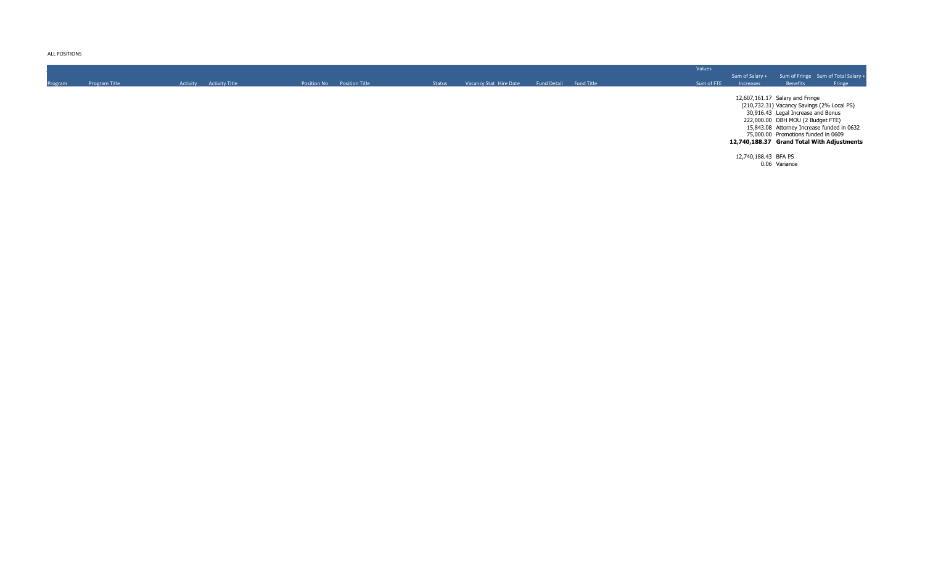ALL POSITIONS

|         |               |                         |                            |               |                        |                    |                   | Values     |                      |                                                                                                                                                                                                                                               |                                            |
|---------|---------------|-------------------------|----------------------------|---------------|------------------------|--------------------|-------------------|------------|----------------------|-----------------------------------------------------------------------------------------------------------------------------------------------------------------------------------------------------------------------------------------------|--------------------------------------------|
|         |               |                         |                            |               |                        |                    |                   |            | Sum of Salary +      |                                                                                                                                                                                                                                               | Sum of Fringe Sum of Total Salary +        |
| Program | Program Title | Activity Activity Title | Position No Position Title | <b>Status</b> | Vacancy Stat Hire Date | <b>Fund Detail</b> | <b>Fund Title</b> | Sum of FTE | Increases            | Benefits                                                                                                                                                                                                                                      | Fringe                                     |
|         |               |                         |                            |               |                        |                    |                   |            |                      | 12,607,161.17 Salary and Fringe<br>(210,732.31) Vacancy Savings (2% Local PS)<br>30,916.43 Legal Increase and Bonus<br>222,000.00 DBH MOU (2 Budget FTE)<br>15,843.08 Attorney Increase funded in 0632<br>75,000.00 Promotions funded in 0609 | 12,740,188.37 Grand Total With Adjustments |
|         |               |                         |                            |               |                        |                    |                   |            | 12,740,188.43 BFA PS | 0.06 Variance                                                                                                                                                                                                                                 |                                            |